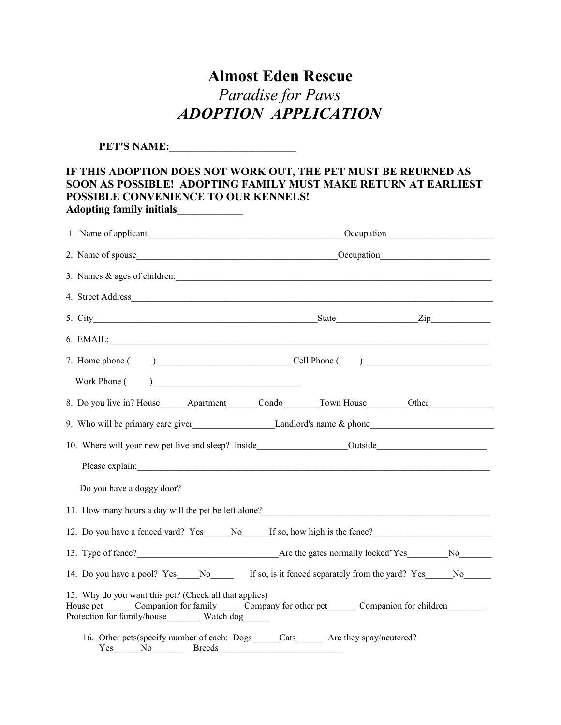## **Almost Eden Rescue** *Paradise for Paws ADOPTION APPLICATION*

**PET'S NAME:** 

## **IF THIS ADOPTION DOES NOT WORK OUT, THE PET MUST BE REURNED AS SOON AS POSSIBLE! ADOPTING FAMILY MUST MAKE RETURN AT EARLIEST POSSIBLE CONVENIENCE TO OUR KENNELS! Adopting family initials\_\_\_\_\_\_\_\_\_\_\_\_**

| 1. Name of applicant Cocupation Cocupation Cocupation                                                                                                                                                                                 |  |  |
|---------------------------------------------------------------------------------------------------------------------------------------------------------------------------------------------------------------------------------------|--|--|
|                                                                                                                                                                                                                                       |  |  |
| 3. Names & ages of children:                                                                                                                                                                                                          |  |  |
|                                                                                                                                                                                                                                       |  |  |
|                                                                                                                                                                                                                                       |  |  |
|                                                                                                                                                                                                                                       |  |  |
| 7. Home phone ( ) Cell Phone ( )                                                                                                                                                                                                      |  |  |
| Work Phone (                                                                                                                                                                                                                          |  |  |
| 8. Do you live in? House Apartment Condo Town House Other                                                                                                                                                                             |  |  |
|                                                                                                                                                                                                                                       |  |  |
|                                                                                                                                                                                                                                       |  |  |
| Please explain:                                                                                                                                                                                                                       |  |  |
| Do you have a doggy door?                                                                                                                                                                                                             |  |  |
| 11. How many hours a day will the pet be left alone?<br><u>Letting and the substitute of the substitute of the substitute</u> of the substitute of the substitute of the substitute of the substitute of the substitute of the substi |  |  |
| 12. Do you have a fenced yard? Yes ______No______If so, how high is the fence?                                                                                                                                                        |  |  |
|                                                                                                                                                                                                                                       |  |  |
| 14. Do you have a pool? Yes No If so, is it fenced separately from the yard? Yes No                                                                                                                                                   |  |  |
| 15. Why do you want this pet? (Check all that applies)<br>House pet Companion for family Company for other pet Companion for children                                                                                                 |  |  |
| 16. Other pets (specify number of each: Dogs_____Cats_______ Are they spay/neutered?<br><b>Yes</b><br>N <sub>0</sub><br><b>Breeds</b>                                                                                                 |  |  |